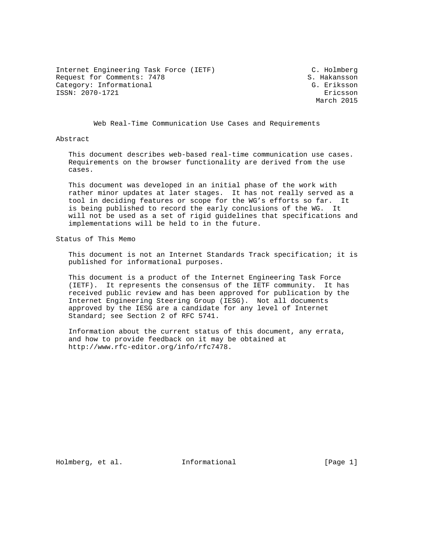Internet Engineering Task Force (IETF) C. Holmberg Request for Comments: 7478 S. Hakansson Category: Informational G. Eriksson ISSN: 2070-1721 Ericsson

March 2015

Web Real-Time Communication Use Cases and Requirements

Abstract

 This document describes web-based real-time communication use cases. Requirements on the browser functionality are derived from the use cases.

 This document was developed in an initial phase of the work with rather minor updates at later stages. It has not really served as a tool in deciding features or scope for the WG's efforts so far. It is being published to record the early conclusions of the WG. It will not be used as a set of rigid guidelines that specifications and implementations will be held to in the future.

Status of This Memo

 This document is not an Internet Standards Track specification; it is published for informational purposes.

 This document is a product of the Internet Engineering Task Force (IETF). It represents the consensus of the IETF community. It has received public review and has been approved for publication by the Internet Engineering Steering Group (IESG). Not all documents approved by the IESG are a candidate for any level of Internet Standard; see Section 2 of RFC 5741.

 Information about the current status of this document, any errata, and how to provide feedback on it may be obtained at http://www.rfc-editor.org/info/rfc7478.

Holmberg, et al. 1nformational [Page 1]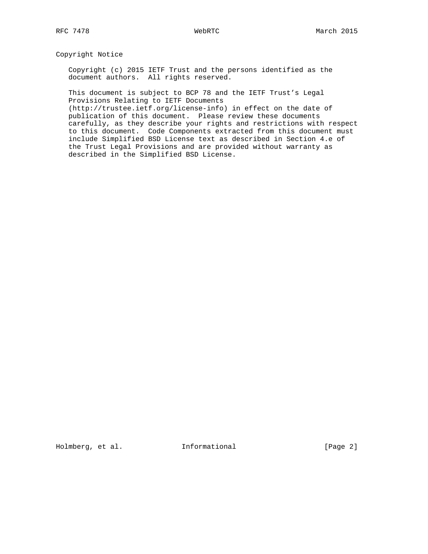## Copyright Notice

 Copyright (c) 2015 IETF Trust and the persons identified as the document authors. All rights reserved.

 This document is subject to BCP 78 and the IETF Trust's Legal Provisions Relating to IETF Documents

 (http://trustee.ietf.org/license-info) in effect on the date of publication of this document. Please review these documents carefully, as they describe your rights and restrictions with respect to this document. Code Components extracted from this document must include Simplified BSD License text as described in Section 4.e of the Trust Legal Provisions and are provided without warranty as described in the Simplified BSD License.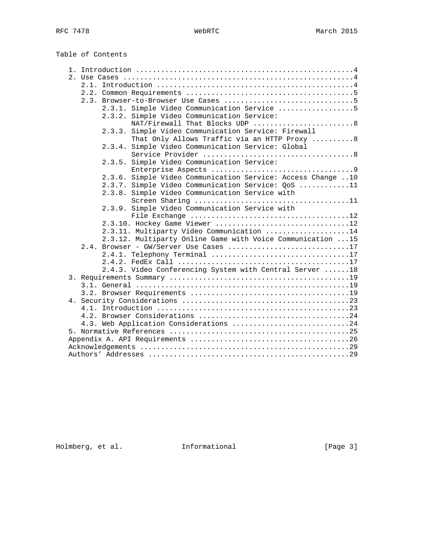Table of Contents

|  | 2.3.1. Simple Video Communication Service 5                 |
|--|-------------------------------------------------------------|
|  | 2.3.2. Simple Video Communication Service:                  |
|  | NAT/Firewall That Blocks UDP 8                              |
|  | 2.3.3. Simple Video Communication Service: Firewall         |
|  | That Only Allows Traffic via an HTTP Proxy 8                |
|  | Simple Video Communication Service: Global<br>2.3.4.        |
|  |                                                             |
|  | Simple Video Communication Service:<br>2.3.5.               |
|  |                                                             |
|  | 2.3.6. Simple Video Communication Service: Access Change 10 |
|  | 2.3.7. Simple Video Communication Service: QoS 11           |
|  | 2.3.8. Simple Video Communication Service with              |
|  |                                                             |
|  | 2.3.9. Simple Video Communication Service with              |
|  |                                                             |
|  | 2.3.10. Hockey Game Viewer 12                               |
|  | 2.3.11. Multiparty Video Communication 14                   |
|  | 2.3.12. Multiparty Online Game with Voice Communication  15 |
|  | 2.4. Browser - GW/Server Use Cases 17                       |
|  | 2.4.1. Telephony Terminal 17                                |
|  |                                                             |
|  | 2.4.3. Video Conferencing System with Central Server  18    |
|  |                                                             |
|  |                                                             |
|  |                                                             |
|  |                                                             |
|  |                                                             |
|  |                                                             |
|  | 4.3. Web Application Considerations 24                      |
|  |                                                             |
|  |                                                             |
|  |                                                             |
|  |                                                             |

Holmberg, et al. 1nformational [Page 3]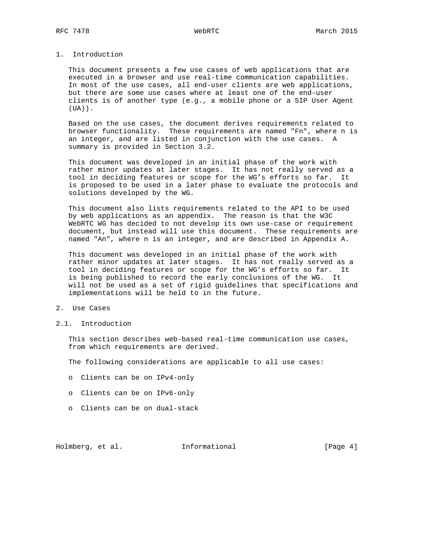# 1. Introduction

 This document presents a few use cases of web applications that are executed in a browser and use real-time communication capabilities. In most of the use cases, all end-user clients are web applications, but there are some use cases where at least one of the end-user clients is of another type (e.g., a mobile phone or a SIP User Agent (UA)).

 Based on the use cases, the document derives requirements related to browser functionality. These requirements are named "Fn", where n is an integer, and are listed in conjunction with the use cases. A summary is provided in Section 3.2.

 This document was developed in an initial phase of the work with rather minor updates at later stages. It has not really served as a tool in deciding features or scope for the WG's efforts so far. It is proposed to be used in a later phase to evaluate the protocols and solutions developed by the WG.

 This document also lists requirements related to the API to be used by web applications as an appendix. The reason is that the W3C WebRTC WG has decided to not develop its own use-case or requirement document, but instead will use this document. These requirements are named "An", where n is an integer, and are described in Appendix A.

 This document was developed in an initial phase of the work with rather minor updates at later stages. It has not really served as a tool in deciding features or scope for the WG's efforts so far. It is being published to record the early conclusions of the WG. It will not be used as a set of rigid guidelines that specifications and implementations will be held to in the future.

## 2. Use Cases

2.1. Introduction

 This section describes web-based real-time communication use cases, from which requirements are derived.

The following considerations are applicable to all use cases:

- o Clients can be on IPv4-only
- o Clients can be on IPv6-only
- o Clients can be on dual-stack

Holmberg, et al. **Informational** [Page 4]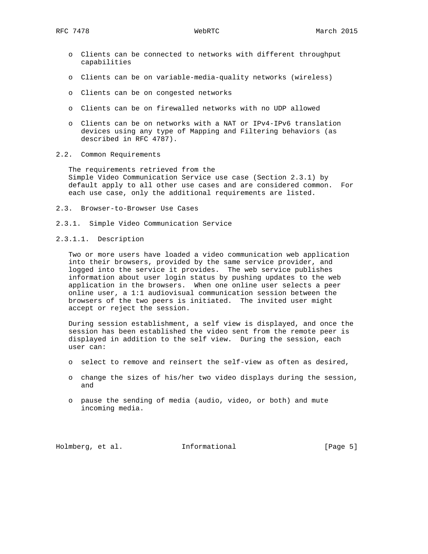- o Clients can be connected to networks with different throughput capabilities
- o Clients can be on variable-media-quality networks (wireless)
- o Clients can be on congested networks
- o Clients can be on firewalled networks with no UDP allowed
- o Clients can be on networks with a NAT or IPv4-IPv6 translation devices using any type of Mapping and Filtering behaviors (as described in RFC 4787).
- 2.2. Common Requirements

 The requirements retrieved from the Simple Video Communication Service use case (Section 2.3.1) by default apply to all other use cases and are considered common. For each use case, only the additional requirements are listed.

- 2.3. Browser-to-Browser Use Cases
- 2.3.1. Simple Video Communication Service
- 2.3.1.1. Description

 Two or more users have loaded a video communication web application into their browsers, provided by the same service provider, and logged into the service it provides. The web service publishes information about user login status by pushing updates to the web application in the browsers. When one online user selects a peer online user, a 1:1 audiovisual communication session between the browsers of the two peers is initiated. The invited user might accept or reject the session.

 During session establishment, a self view is displayed, and once the session has been established the video sent from the remote peer is displayed in addition to the self view. During the session, each user can:

- o select to remove and reinsert the self-view as often as desired,
- o change the sizes of his/her two video displays during the session, and
- o pause the sending of media (audio, video, or both) and mute incoming media.

Holmberg, et al. 1nformational 1999 [Page 5]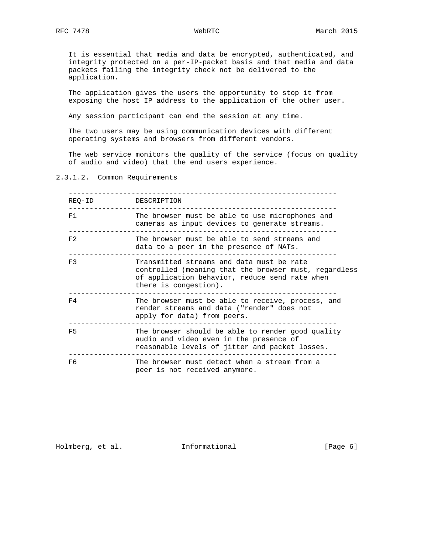It is essential that media and data be encrypted, authenticated, and integrity protected on a per-IP-packet basis and that media and data packets failing the integrity check not be delivered to the application.

 The application gives the users the opportunity to stop it from exposing the host IP address to the application of the other user.

Any session participant can end the session at any time.

 The two users may be using communication devices with different operating systems and browsers from different vendors.

 The web service monitors the quality of the service (focus on quality of audio and video) that the end users experience.

2.3.1.2. Common Requirements

| REQ-ID         | DESCRIPTION                                                                                                                                                                   |
|----------------|-------------------------------------------------------------------------------------------------------------------------------------------------------------------------------|
| F1             | The browser must be able to use microphones and<br>cameras as input devices to generate streams.                                                                              |
| F <sub>2</sub> | The browser must be able to send streams and<br>data to a peer in the presence of NATs.                                                                                       |
| F3             | Transmitted streams and data must be rate<br>controlled (meaning that the browser must, regardless<br>of application behavior, reduce send rate when<br>there is congestion). |
| F4             | The browser must be able to receive, process, and<br>render streams and data ("render" does not<br>apply for data) from peers.                                                |
| F5             | The browser should be able to render good quality<br>audio and video even in the presence of<br>reasonable levels of jitter and packet losses.                                |
| F6             | The browser must detect when a stream from a<br>peer is not received anymore.                                                                                                 |

Holmberg, et al. 1nformational 1999 [Page 6]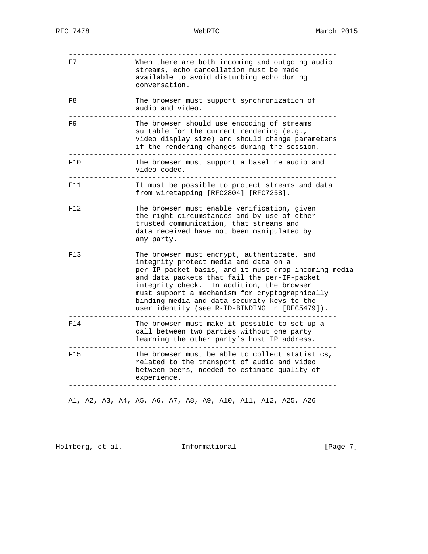| F7   | When there are both incoming and outgoing audio<br>streams, echo cancellation must be made<br>available to avoid disturbing echo during<br>conversation.                                                                                                                                                                                                                                     |
|------|----------------------------------------------------------------------------------------------------------------------------------------------------------------------------------------------------------------------------------------------------------------------------------------------------------------------------------------------------------------------------------------------|
| F8   | The browser must support synchronization of<br>audio and video.                                                                                                                                                                                                                                                                                                                              |
| F9   | The browser should use encoding of streams<br>suitable for the current rendering (e.g.,<br>video display size) and should change parameters<br>if the rendering changes during the session.                                                                                                                                                                                                  |
| F10  | The browser must support a baseline audio and<br>video codec.                                                                                                                                                                                                                                                                                                                                |
| F11. | It must be possible to protect streams and data<br>from wiretapping [RFC2804] [RFC7258].                                                                                                                                                                                                                                                                                                     |
| F12  | The browser must enable verification, given<br>the right circumstances and by use of other<br>trusted communication, that streams and<br>data received have not been manipulated by<br>any party.                                                                                                                                                                                            |
| F13  | The browser must encrypt, authenticate, and<br>integrity protect media and data on a<br>per-IP-packet basis, and it must drop incoming media<br>and data packets that fail the per-IP-packet<br>integrity check. In addition, the browser<br>must support a mechanism for cryptographically<br>binding media and data security keys to the<br>user identity (see R-ID-BINDING in [RFC5479]). |
| F14  | The browser must make it possible to set up a<br>call between two parties without one party<br>learning the other party's host IP address.                                                                                                                                                                                                                                                   |
| F15  | The browser must be able to collect statistics,<br>related to the transport of audio and video<br>between peers, needed to estimate quality of<br>experience.                                                                                                                                                                                                                                |

A1, A2, A3, A4, A5, A6, A7, A8, A9, A10, A11, A12, A25, A26

Holmberg, et al. 1nformational 1999 [Page 7]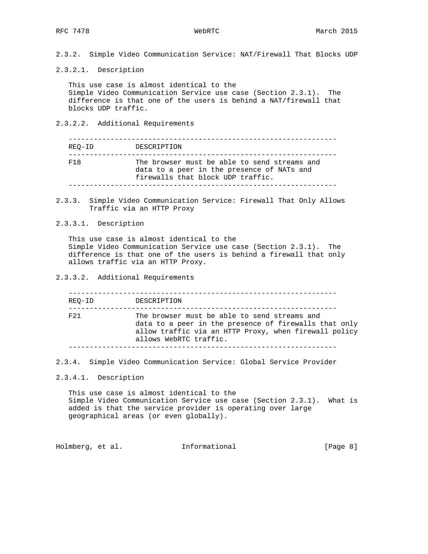2.3.2. Simple Video Communication Service: NAT/Firewall That Blocks UDP

2.3.2.1. Description

 This use case is almost identical to the Simple Video Communication Service use case (Section 2.3.1). The difference is that one of the users is behind a NAT/firewall that blocks UDP traffic.

2.3.2.2. Additional Requirements

| REO-ID | DESCRIPTION                                                                                                                     |
|--------|---------------------------------------------------------------------------------------------------------------------------------|
| F18    | The browser must be able to send streams and<br>data to a peer in the presence of NATs and<br>firewalls that block UDP traffic. |

2.3.3. Simple Video Communication Service: Firewall That Only Allows Traffic via an HTTP Proxy

2.3.3.1. Description

 This use case is almost identical to the Simple Video Communication Service use case (Section 2.3.1). The difference is that one of the users is behind a firewall that only allows traffic via an HTTP Proxy.

2.3.3.2. Additional Requirements

| REO-ID          | DESCRIPTION                                                                                                                                                                              |
|-----------------|------------------------------------------------------------------------------------------------------------------------------------------------------------------------------------------|
| F <sub>21</sub> | The browser must be able to send streams and<br>data to a peer in the presence of firewalls that only<br>allow traffic via an HTTP Proxy, when firewall policy<br>allows WebRTC traffic. |

2.3.4. Simple Video Communication Service: Global Service Provider

2.3.4.1. Description

 This use case is almost identical to the Simple Video Communication Service use case (Section 2.3.1). What is added is that the service provider is operating over large geographical areas (or even globally).

Holmberg, et al. 1nformational 1999 [Page 8]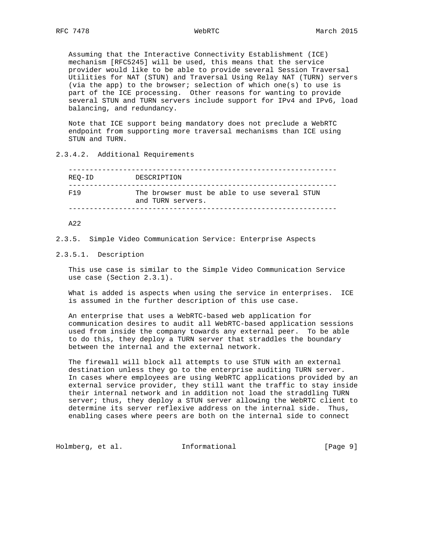Assuming that the Interactive Connectivity Establishment (ICE) mechanism [RFC5245] will be used, this means that the service provider would like to be able to provide several Session Traversal Utilities for NAT (STUN) and Traversal Using Relay NAT (TURN) servers (via the app) to the browser; selection of which one(s) to use is part of the ICE processing. Other reasons for wanting to provide several STUN and TURN servers include support for IPv4 and IPv6, load balancing, and redundancy.

 Note that ICE support being mandatory does not preclude a WebRTC endpoint from supporting more traversal mechanisms than ICE using STUN and TURN.

# 2.3.4.2. Additional Requirements

| REO-ID          | DESCRIPTION                                                       |
|-----------------|-------------------------------------------------------------------|
| F <sub>19</sub> | The browser must be able to use several STUN<br>and TURN servers. |

A22

2.3.5. Simple Video Communication Service: Enterprise Aspects

### 2.3.5.1. Description

 This use case is similar to the Simple Video Communication Service use case (Section 2.3.1).

 What is added is aspects when using the service in enterprises. ICE is assumed in the further description of this use case.

 An enterprise that uses a WebRTC-based web application for communication desires to audit all WebRTC-based application sessions used from inside the company towards any external peer. To be able to do this, they deploy a TURN server that straddles the boundary between the internal and the external network.

 The firewall will block all attempts to use STUN with an external destination unless they go to the enterprise auditing TURN server. In cases where employees are using WebRTC applications provided by an external service provider, they still want the traffic to stay inside their internal network and in addition not load the straddling TURN server; thus, they deploy a STUN server allowing the WebRTC client to determine its server reflexive address on the internal side. Thus, enabling cases where peers are both on the internal side to connect

Holmberg, et al. 1nformational 1999 [Page 9]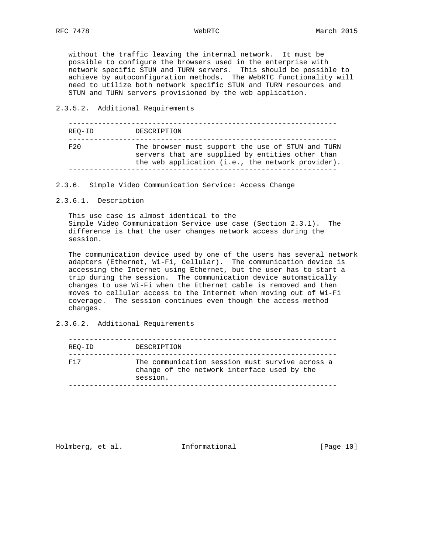without the traffic leaving the internal network. It must be possible to configure the browsers used in the enterprise with network specific STUN and TURN servers. This should be possible to achieve by autoconfiguration methods. The WebRTC functionality will need to utilize both network specific STUN and TURN resources and STUN and TURN servers provisioned by the web application.

### 2.3.5.2. Additional Requirements

| REO-ID | DESCRIPTION                                                                                                                                                |
|--------|------------------------------------------------------------------------------------------------------------------------------------------------------------|
| F20    | The browser must support the use of STUN and TURN<br>servers that are supplied by entities other than<br>the web application (i.e., the network provider). |
|        |                                                                                                                                                            |

2.3.6. Simple Video Communication Service: Access Change

### 2.3.6.1. Description

 This use case is almost identical to the Simple Video Communication Service use case (Section 2.3.1). The difference is that the user changes network access during the session.

 The communication device used by one of the users has several network adapters (Ethernet, Wi-Fi, Cellular). The communication device is accessing the Internet using Ethernet, but the user has to start a trip during the session. The communication device automatically changes to use Wi-Fi when the Ethernet cable is removed and then moves to cellular access to the Internet when moving out of Wi-Fi coverage. The session continues even though the access method changes.

2.3.6.2. Additional Requirements

| REO-ID | DESCRIPTION                                                                                                |
|--------|------------------------------------------------------------------------------------------------------------|
| F17    | The communication session must survive across a<br>change of the network interface used by the<br>session. |

Holmberg, et al. 1nformational [Page 10]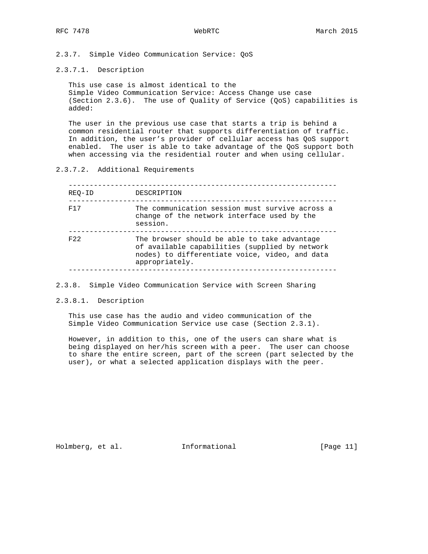2.3.7. Simple Video Communication Service: QoS

2.3.7.1. Description

 This use case is almost identical to the Simple Video Communication Service: Access Change use case (Section 2.3.6). The use of Quality of Service (QoS) capabilities is added:

 The user in the previous use case that starts a trip is behind a common residential router that supports differentiation of traffic. In addition, the user's provider of cellular access has QoS support enabled. The user is able to take advantage of the QoS support both when accessing via the residential router and when using cellular.

2.3.7.2. Additional Requirements

| REO-ID | DESCRIPTION                                                                                                                                                        |
|--------|--------------------------------------------------------------------------------------------------------------------------------------------------------------------|
| F17    | The communication session must survive across a<br>change of the network interface used by the<br>session.                                                         |
| F22    | The browser should be able to take advantage<br>of available capabilities (supplied by network<br>nodes) to differentiate voice, video, and data<br>appropriately. |

2.3.8. Simple Video Communication Service with Screen Sharing

2.3.8.1. Description

 This use case has the audio and video communication of the Simple Video Communication Service use case (Section 2.3.1).

 However, in addition to this, one of the users can share what is being displayed on her/his screen with a peer. The user can choose to share the entire screen, part of the screen (part selected by the user), or what a selected application displays with the peer.

Holmberg, et al. 1nformational [Page 11]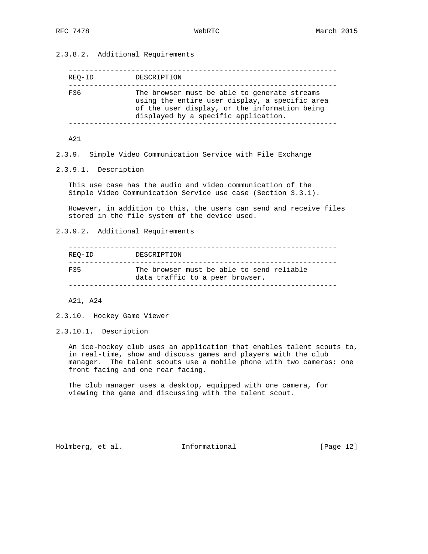2.3.8.2. Additional Requirements

| REO-ID | DESCRIPTION                                                                                                                                                                             |
|--------|-----------------------------------------------------------------------------------------------------------------------------------------------------------------------------------------|
| F36    | The browser must be able to generate streams<br>using the entire user display, a specific area<br>of the user display, or the information being<br>displayed by a specific application. |

A21

2.3.9. Simple Video Communication Service with File Exchange

2.3.9.1. Description

 This use case has the audio and video communication of the Simple Video Communication Service use case (Section 3.3.1).

 However, in addition to this, the users can send and receive files stored in the file system of the device used.

2.3.9.2. Additional Requirements

| REO-ID | DESCRIPTION                                                                  |
|--------|------------------------------------------------------------------------------|
| 戸35    | The browser must be able to send reliable<br>data traffic to a peer browser. |

A21, A24

2.3.10. Hockey Game Viewer

2.3.10.1. Description

 An ice-hockey club uses an application that enables talent scouts to, in real-time, show and discuss games and players with the club manager. The talent scouts use a mobile phone with two cameras: one front facing and one rear facing.

 The club manager uses a desktop, equipped with one camera, for viewing the game and discussing with the talent scout.

Holmberg, et al. 1nformational [Page 12]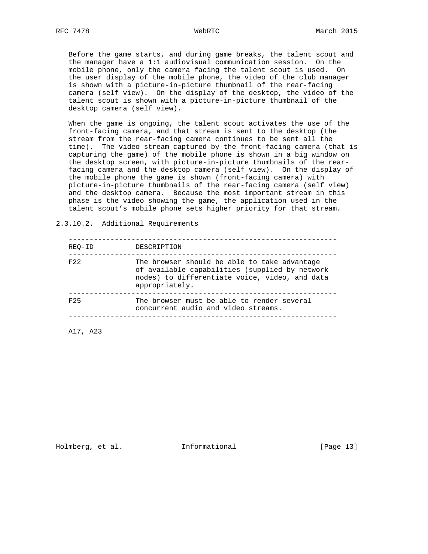Before the game starts, and during game breaks, the talent scout and the manager have a 1:1 audiovisual communication session. On the mobile phone, only the camera facing the talent scout is used. On the user display of the mobile phone, the video of the club manager is shown with a picture-in-picture thumbnail of the rear-facing camera (self view). On the display of the desktop, the video of the talent scout is shown with a picture-in-picture thumbnail of the desktop camera (self view).

 When the game is ongoing, the talent scout activates the use of the front-facing camera, and that stream is sent to the desktop (the stream from the rear-facing camera continues to be sent all the time). The video stream captured by the front-facing camera (that is capturing the game) of the mobile phone is shown in a big window on the desktop screen, with picture-in-picture thumbnails of the rear facing camera and the desktop camera (self view). On the display of the mobile phone the game is shown (front-facing camera) with picture-in-picture thumbnails of the rear-facing camera (self view) and the desktop camera. Because the most important stream in this phase is the video showing the game, the application used in the talent scout's mobile phone sets higher priority for that stream.

 ---------------------------------------------------------------- REQ-ID DESCRIPTION ---------------------------------------------------------------- F22 The browser should be able to take advantage of available capabilities (supplied by network nodes) to differentiate voice, video, and data appropriately. ---------------------------------------------------------------- F25 The browser must be able to render several concurrent audio and video streams. ----------------------------------------------------------------

A17, A23

2.3.10.2. Additional Requirements

Holmberg, et al. 1nformational [Page 13]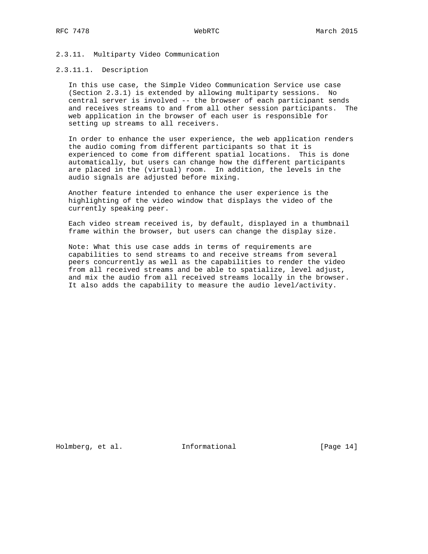### 2.3.11. Multiparty Video Communication

## 2.3.11.1. Description

 In this use case, the Simple Video Communication Service use case (Section 2.3.1) is extended by allowing multiparty sessions. No central server is involved -- the browser of each participant sends and receives streams to and from all other session participants. The web application in the browser of each user is responsible for setting up streams to all receivers.

 In order to enhance the user experience, the web application renders the audio coming from different participants so that it is experienced to come from different spatial locations. This is done automatically, but users can change how the different participants are placed in the (virtual) room. In addition, the levels in the audio signals are adjusted before mixing.

 Another feature intended to enhance the user experience is the highlighting of the video window that displays the video of the currently speaking peer.

 Each video stream received is, by default, displayed in a thumbnail frame within the browser, but users can change the display size.

 Note: What this use case adds in terms of requirements are capabilities to send streams to and receive streams from several peers concurrently as well as the capabilities to render the video from all received streams and be able to spatialize, level adjust, and mix the audio from all received streams locally in the browser. It also adds the capability to measure the audio level/activity.

Holmberg, et al. 1nformational [Page 14]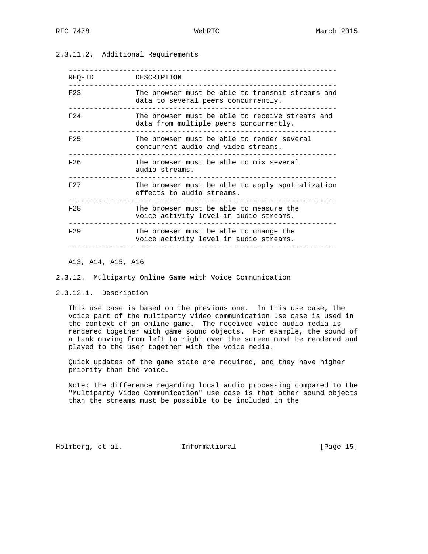# 2.3.11.2. Additional Requirements

| REQ-ID          | DESCRIPTION                                                                               |
|-----------------|-------------------------------------------------------------------------------------------|
| F23             | The browser must be able to transmit streams and<br>data to several peers concurrently.   |
| F <sub>24</sub> | The browser must be able to receive streams and<br>data from multiple peers concurrently. |
| F25             | The browser must be able to render several<br>concurrent audio and video streams.         |
| F26             | The browser must be able to mix several<br>audio streams.                                 |
| F <sub>27</sub> | The browser must be able to apply spatialization<br>effects to audio streams.             |
| F28             | The browser must be able to measure the<br>voice activity level in audio streams.         |
| F29             | The browser must be able to change the<br>voice activity level in audio streams.          |
|                 |                                                                                           |

### A13, A14, A15, A16

#### 2.3.12. Multiparty Online Game with Voice Communication

### 2.3.12.1. Description

 This use case is based on the previous one. In this use case, the voice part of the multiparty video communication use case is used in the context of an online game. The received voice audio media is rendered together with game sound objects. For example, the sound of a tank moving from left to right over the screen must be rendered and played to the user together with the voice media.

 Quick updates of the game state are required, and they have higher priority than the voice.

 Note: the difference regarding local audio processing compared to the "Multiparty Video Communication" use case is that other sound objects than the streams must be possible to be included in the

Holmberg, et al. 1nformational [Page 15]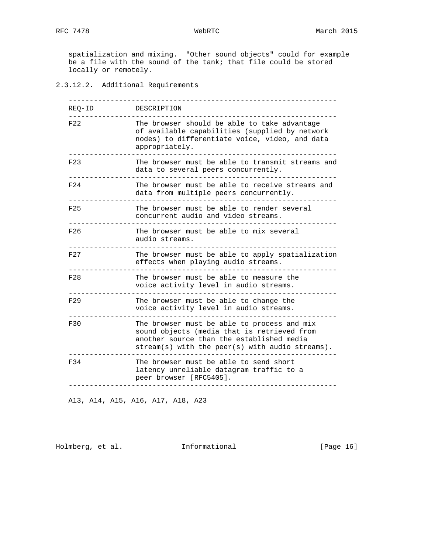spatialization and mixing. "Other sound objects" could for example be a file with the sound of the tank; that file could be stored locally or remotely.

2.3.12.2. Additional Requirements

| REO-ID          | DESCRIPTION                                                                                                                                                                                |
|-----------------|--------------------------------------------------------------------------------------------------------------------------------------------------------------------------------------------|
| F22             | The browser should be able to take advantage<br>of available capabilities (supplied by network<br>nodes) to differentiate voice, video, and data<br>appropriately.                         |
| F23             | The browser must be able to transmit streams and<br>data to several peers concurrently.                                                                                                    |
| F <sub>24</sub> | The browser must be able to receive streams and<br>data from multiple peers concurrently.                                                                                                  |
| F25             | The browser must be able to render several<br>concurrent audio and video streams.                                                                                                          |
| F26             | The browser must be able to mix several<br>audio streams.                                                                                                                                  |
| F27             | The browser must be able to apply spatialization<br>effects when playing audio streams.                                                                                                    |
| F28             | The browser must be able to measure the<br>voice activity level in audio streams.                                                                                                          |
| F29             | The browser must be able to change the<br>voice activity level in audio streams.                                                                                                           |
| F30             | The browser must be able to process and mix<br>sound objects (media that is retrieved from<br>another source than the established media<br>stream(s) with the peer(s) with audio streams). |
| F34             | The browser must be able to send short<br>latency unreliable datagram traffic to a<br>peer browser [RFC5405].                                                                              |

A13, A14, A15, A16, A17, A18, A23

Holmberg, et al. 1nformational [Page 16]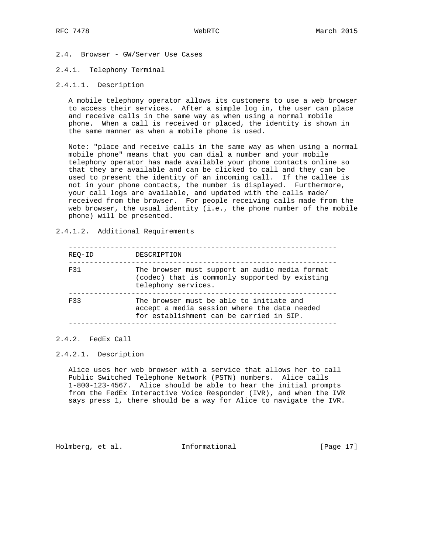- 2.4. Browser GW/Server Use Cases
- 2.4.1. Telephony Terminal
- 2.4.1.1. Description

 A mobile telephony operator allows its customers to use a web browser to access their services. After a simple log in, the user can place and receive calls in the same way as when using a normal mobile phone. When a call is received or placed, the identity is shown in the same manner as when a mobile phone is used.

 Note: "place and receive calls in the same way as when using a normal mobile phone" means that you can dial a number and your mobile telephony operator has made available your phone contacts online so that they are available and can be clicked to call and they can be used to present the identity of an incoming call. If the callee is not in your phone contacts, the number is displayed. Furthermore, your call logs are available, and updated with the calls made/ received from the browser. For people receiving calls made from the web browser, the usual identity (i.e., the phone number of the mobile phone) will be presented.

### 2.4.1.2. Additional Requirements

| REO-ID | DESCRIPTION                                                                                                                          |
|--------|--------------------------------------------------------------------------------------------------------------------------------------|
| F31    | The browser must support an audio media format<br>(codec) that is commonly supported by existing<br>telephony services.              |
| F33    | The browser must be able to initiate and<br>accept a media session where the data needed<br>for establishment can be carried in SIP. |
|        |                                                                                                                                      |

### 2.4.2. FedEx Call

### 2.4.2.1. Description

 Alice uses her web browser with a service that allows her to call Public Switched Telephone Network (PSTN) numbers. Alice calls 1-800-123-4567. Alice should be able to hear the initial prompts from the FedEx Interactive Voice Responder (IVR), and when the IVR says press 1, there should be a way for Alice to navigate the IVR.

Holmberg, et al. 1nformational [Page 17]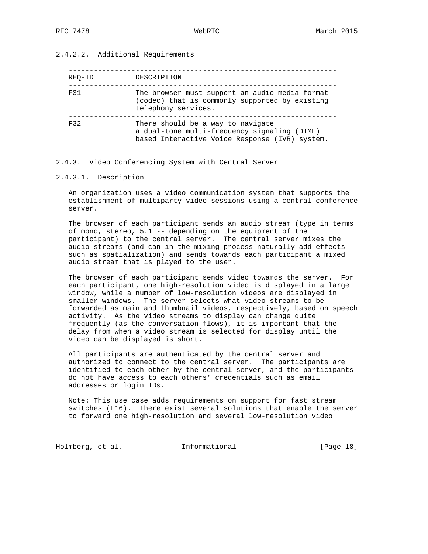# 2.4.2.2. Additional Requirements

| REO-ID | DESCRIPTION                                                                                                                         |
|--------|-------------------------------------------------------------------------------------------------------------------------------------|
| F31    | The browser must support an audio media format<br>(codec) that is commonly supported by existing<br>telephony services.             |
| F32    | There should be a way to navigate<br>a dual-tone multi-frequency signaling (DTMF)<br>based Interactive Voice Response (IVR) system. |

#### 2.4.3. Video Conferencing System with Central Server

### 2.4.3.1. Description

 An organization uses a video communication system that supports the establishment of multiparty video sessions using a central conference server.

 The browser of each participant sends an audio stream (type in terms of mono, stereo, 5.1 -- depending on the equipment of the participant) to the central server. The central server mixes the audio streams (and can in the mixing process naturally add effects such as spatialization) and sends towards each participant a mixed audio stream that is played to the user.

 The browser of each participant sends video towards the server. For each participant, one high-resolution video is displayed in a large window, while a number of low-resolution videos are displayed in smaller windows. The server selects what video streams to be forwarded as main and thumbnail videos, respectively, based on speech activity. As the video streams to display can change quite frequently (as the conversation flows), it is important that the delay from when a video stream is selected for display until the video can be displayed is short.

 All participants are authenticated by the central server and authorized to connect to the central server. The participants are identified to each other by the central server, and the participants do not have access to each others' credentials such as email addresses or login IDs.

 Note: This use case adds requirements on support for fast stream switches (F16). There exist several solutions that enable the server to forward one high-resolution and several low-resolution video

Holmberg, et al. 1nformational [Page 18]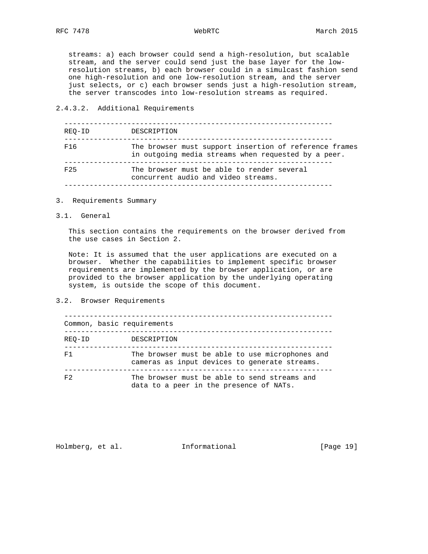streams: a) each browser could send a high-resolution, but scalable stream, and the server could send just the base layer for the low resolution streams, b) each browser could in a simulcast fashion send one high-resolution and one low-resolution stream, and the server just selects, or c) each browser sends just a high-resolution stream, the server transcodes into low-resolution streams as required.

### 2.4.3.2. Additional Requirements

| REO-ID          | DESCRIPTION                                                                                                   |
|-----------------|---------------------------------------------------------------------------------------------------------------|
| F <sub>16</sub> | The browser must support insertion of reference frames<br>in outgoing media streams when requested by a peer. |
| F <sub>25</sub> | The browser must be able to render several<br>concurrent audio and video streams.                             |

- 3. Requirements Summary
- 3.1. General

 This section contains the requirements on the browser derived from the use cases in Section 2.

 Note: It is assumed that the user applications are executed on a browser. Whether the capabilities to implement specific browser requirements are implemented by the browser application, or are provided to the browser application by the underlying operating system, is outside the scope of this document.

3.2. Browser Requirements

|                | Common, basic requirements                                                                       |
|----------------|--------------------------------------------------------------------------------------------------|
| REO-ID         | DESCRIPTION                                                                                      |
| F1             | The browser must be able to use microphones and<br>cameras as input devices to generate streams. |
| F <sub>2</sub> | The browser must be able to send streams and<br>data to a peer in the presence of NATs.          |

Holmberg, et al. 1nformational [Page 19]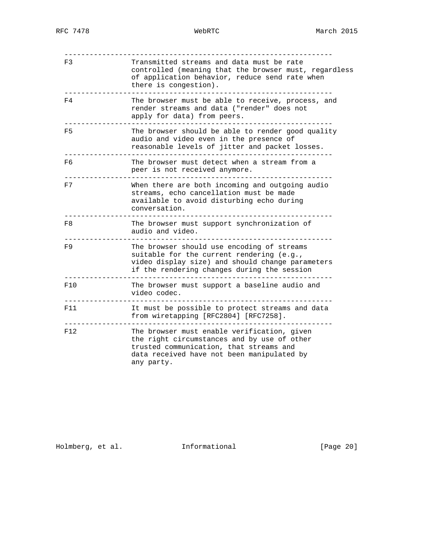| F3  | Transmitted streams and data must be rate<br>controlled (meaning that the browser must, regardless<br>of application behavior, reduce send rate when<br>there is congestion).                     |
|-----|---------------------------------------------------------------------------------------------------------------------------------------------------------------------------------------------------|
| F4  | The browser must be able to receive, process, and<br>render streams and data ("render" does not<br>apply for data) from peers.                                                                    |
| F5  | The browser should be able to render good quality<br>audio and video even in the presence of<br>reasonable levels of jitter and packet losses.                                                    |
| F6  | The browser must detect when a stream from a<br>peer is not received anymore.                                                                                                                     |
| F7  | When there are both incoming and outgoing audio<br>streams, echo cancellation must be made<br>available to avoid disturbing echo during<br>conversation.                                          |
| F8  | The browser must support synchronization of<br>audio and video.                                                                                                                                   |
| F9  | The browser should use encoding of streams<br>suitable for the current rendering (e.g.,<br>video display size) and should change parameters<br>if the rendering changes during the session        |
| F10 | The browser must support a baseline audio and<br>video codec.                                                                                                                                     |
| F11 | It must be possible to protect streams and data<br>from wiretapping [RFC2804] [RFC7258].                                                                                                          |
| F12 | The browser must enable verification, given<br>the right circumstances and by use of other<br>trusted communication, that streams and<br>data received have not been manipulated by<br>any party. |

Holmberg, et al. 1nformational [Page 20]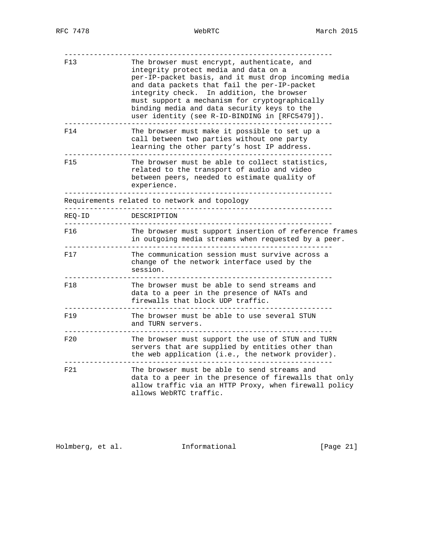| F13    | The browser must encrypt, authenticate, and<br>integrity protect media and data on a<br>per-IP-packet basis, and it must drop incoming media<br>and data packets that fail the per-IP-packet<br>integrity check. In addition, the browser<br>must support a mechanism for cryptographically<br>binding media and data security keys to the<br>user identity (see R-ID-BINDING in [RFC5479]). |
|--------|----------------------------------------------------------------------------------------------------------------------------------------------------------------------------------------------------------------------------------------------------------------------------------------------------------------------------------------------------------------------------------------------|
| F14    | The browser must make it possible to set up a<br>call between two parties without one party<br>learning the other party's host IP address.                                                                                                                                                                                                                                                   |
| F15    | The browser must be able to collect statistics,<br>related to the transport of audio and video<br>between peers, needed to estimate quality of<br>experience.                                                                                                                                                                                                                                |
|        | Requirements related to network and topology                                                                                                                                                                                                                                                                                                                                                 |
| REQ-ID | DESCRIPTION                                                                                                                                                                                                                                                                                                                                                                                  |
| F16    | The browser must support insertion of reference frames<br>in outgoing media streams when requested by a peer.                                                                                                                                                                                                                                                                                |
| F17    | The communication session must survive across a<br>change of the network interface used by the<br>session.                                                                                                                                                                                                                                                                                   |
| F18    | The browser must be able to send streams and<br>data to a peer in the presence of NATs and<br>firewalls that block UDP traffic.                                                                                                                                                                                                                                                              |
| F19    | The browser must be able to use several STUN<br>and TURN servers.                                                                                                                                                                                                                                                                                                                            |
| F20    | The browser must support the use of STUN and TURN<br>servers that are supplied by entities other than<br>the web application (i.e., the network provider).                                                                                                                                                                                                                                   |
| F21    | The browser must be able to send streams and<br>data to a peer in the presence of firewalls that only<br>allow traffic via an HTTP Proxy, when firewall policy<br>allows WebRTC traffic.                                                                                                                                                                                                     |

Holmberg, et al. 1nformational [Page 21]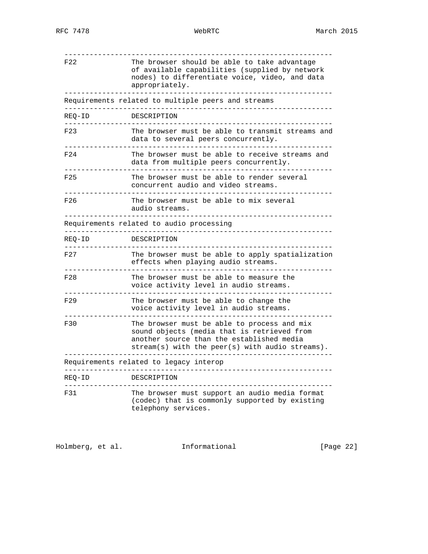| F22                         | The browser should be able to take advantage<br>of available capabilities (supplied by network<br>nodes) to differentiate voice, video, and data<br>appropriately.                           |
|-----------------------------|----------------------------------------------------------------------------------------------------------------------------------------------------------------------------------------------|
|                             | Requirements related to multiple peers and streams                                                                                                                                           |
| REO-ID                      | DESCRIPTION                                                                                                                                                                                  |
| F23                         | The browser must be able to transmit streams and<br>data to several peers concurrently.                                                                                                      |
| F24                         | The browser must be able to receive streams and<br>data from multiple peers concurrently.                                                                                                    |
| F25                         | The browser must be able to render several<br>concurrent audio and video streams.                                                                                                            |
| F26                         | The browser must be able to mix several<br>audio streams.                                                                                                                                    |
| ___________________________ | Requirements related to audio processing                                                                                                                                                     |
| REO-ID                      | DESCRIPTION                                                                                                                                                                                  |
| F27                         | The browser must be able to apply spatialization<br>effects when playing audio streams.                                                                                                      |
| F28                         | The browser must be able to measure the<br>voice activity level in audio streams.                                                                                                            |
| F29                         | The browser must be able to change the<br>voice activity level in audio streams.                                                                                                             |
| F30                         | The browser must be able to process and mix<br>sound objects (media that is retrieved from<br>another source than the established media<br>$stream(s)$ with the peer(s) with audio streams). |
|                             | Requirements related to legacy interop                                                                                                                                                       |
| REO-ID                      | DESCRIPTION                                                                                                                                                                                  |
| F31                         | The browser must support an audio media format<br>(codec) that is commonly supported by existing<br>telephony services.                                                                      |

Holmberg, et al. 1nformational [Page 22]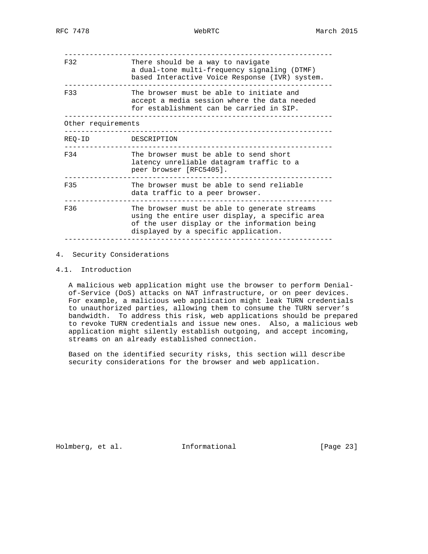| There should be a way to navigate<br>a dual-tone multi-frequency signaling (DTMF)<br>based Interactive Voice Response (IVR) system.                                                    |
|----------------------------------------------------------------------------------------------------------------------------------------------------------------------------------------|
| The browser must be able to initiate and<br>accept a media session where the data needed<br>for establishment can be carried in SIP.                                                   |
| Other requirements                                                                                                                                                                     |
| DESCRIPTION                                                                                                                                                                            |
| The browser must be able to send short<br>latency unreliable datagram traffic to a<br>peer browser [RFC5405].                                                                          |
| The browser must be able to send reliable<br>data traffic to a peer browser.                                                                                                           |
| The browser must be able to generate streams<br>using the entire user display, a specific area<br>of the user display or the information being<br>displayed by a specific application. |
|                                                                                                                                                                                        |

### 4. Security Considerations

# 4.1. Introduction

 A malicious web application might use the browser to perform Denial of-Service (DoS) attacks on NAT infrastructure, or on peer devices. For example, a malicious web application might leak TURN credentials to unauthorized parties, allowing them to consume the TURN server's bandwidth. To address this risk, web applications should be prepared to revoke TURN credentials and issue new ones. Also, a malicious web application might silently establish outgoing, and accept incoming, streams on an already established connection.

 Based on the identified security risks, this section will describe security considerations for the browser and web application.

Holmberg, et al. 1nformational [Page 23]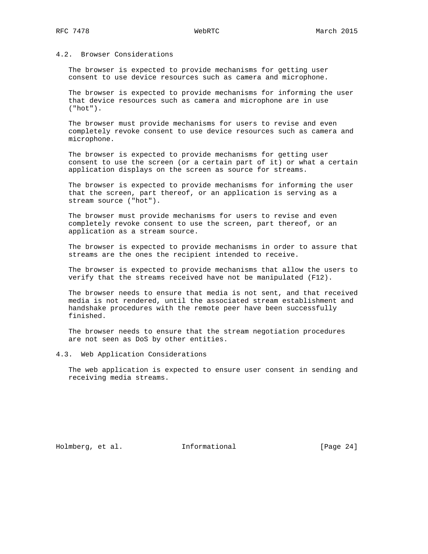# 4.2. Browser Considerations

 The browser is expected to provide mechanisms for getting user consent to use device resources such as camera and microphone.

 The browser is expected to provide mechanisms for informing the user that device resources such as camera and microphone are in use ("hot").

 The browser must provide mechanisms for users to revise and even completely revoke consent to use device resources such as camera and microphone.

 The browser is expected to provide mechanisms for getting user consent to use the screen (or a certain part of it) or what a certain application displays on the screen as source for streams.

 The browser is expected to provide mechanisms for informing the user that the screen, part thereof, or an application is serving as a stream source ("hot").

 The browser must provide mechanisms for users to revise and even completely revoke consent to use the screen, part thereof, or an application as a stream source.

 The browser is expected to provide mechanisms in order to assure that streams are the ones the recipient intended to receive.

 The browser is expected to provide mechanisms that allow the users to verify that the streams received have not be manipulated (F12).

 The browser needs to ensure that media is not sent, and that received media is not rendered, until the associated stream establishment and handshake procedures with the remote peer have been successfully finished.

 The browser needs to ensure that the stream negotiation procedures are not seen as DoS by other entities.

4.3. Web Application Considerations

 The web application is expected to ensure user consent in sending and receiving media streams.

Holmberg, et al. 1nformational [Page 24]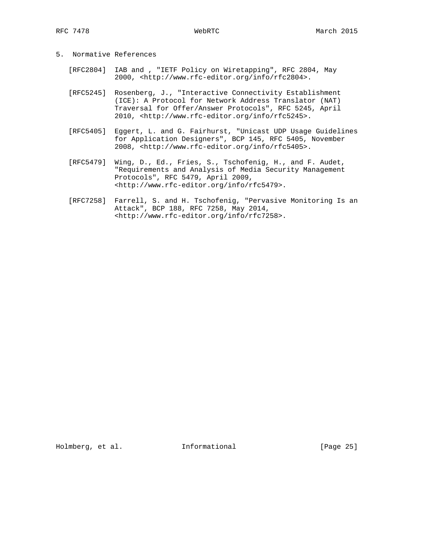| Normative References<br>5. |  |
|----------------------------|--|
|----------------------------|--|

- [RFC2804] IAB and , "IETF Policy on Wiretapping", RFC 2804, May 2000, <http://www.rfc-editor.org/info/rfc2804>.
- [RFC5245] Rosenberg, J., "Interactive Connectivity Establishment (ICE): A Protocol for Network Address Translator (NAT) Traversal for Offer/Answer Protocols", RFC 5245, April 2010, <http://www.rfc-editor.org/info/rfc5245>.
- [RFC5405] Eggert, L. and G. Fairhurst, "Unicast UDP Usage Guidelines for Application Designers", BCP 145, RFC 5405, November 2008, <http://www.rfc-editor.org/info/rfc5405>.
- [RFC5479] Wing, D., Ed., Fries, S., Tschofenig, H., and F. Audet, "Requirements and Analysis of Media Security Management Protocols", RFC 5479, April 2009, <http://www.rfc-editor.org/info/rfc5479>.
- [RFC7258] Farrell, S. and H. Tschofenig, "Pervasive Monitoring Is an Attack", BCP 188, RFC 7258, May 2014, <http://www.rfc-editor.org/info/rfc7258>.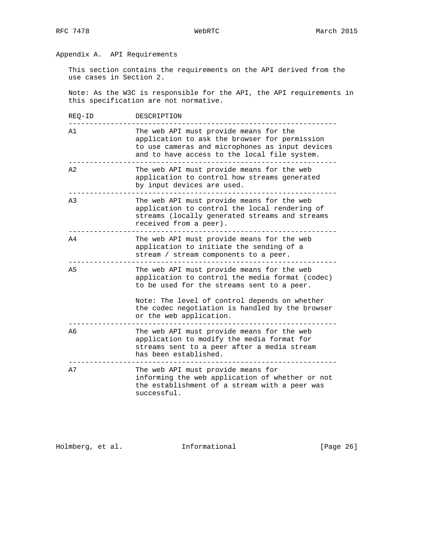# Appendix A. API Requirements

 This section contains the requirements on the API derived from the use cases in Section 2.

 Note: As the W3C is responsible for the API, the API requirements in this specification are not normative.

| REQ-ID         | DESCRIPTION                                                                                                                                                                                                                                                                |
|----------------|----------------------------------------------------------------------------------------------------------------------------------------------------------------------------------------------------------------------------------------------------------------------------|
| A1             | The web API must provide means for the<br>application to ask the browser for permission<br>to use cameras and microphones as input devices<br>and to have access to the local file system.                                                                                 |
| A <sub>2</sub> | The web API must provide means for the web<br>application to control how streams generated<br>by input devices are used.                                                                                                                                                   |
| A <sub>3</sub> | The web API must provide means for the web<br>application to control the local rendering of<br>streams (locally generated streams and streams<br>received from a peer).                                                                                                    |
| A4             | The web API must provide means for the web<br>application to initiate the sending of a<br>stream / stream components to a peer.                                                                                                                                            |
| A <sub>5</sub> | The web API must provide means for the web<br>application to control the media format (codec)<br>to be used for the streams sent to a peer.<br>Note: The level of control depends on whether<br>the codec negotiation is handled by the browser<br>or the web application. |
| A <sub>6</sub> | The web API must provide means for the web<br>application to modify the media format for<br>streams sent to a peer after a media stream<br>has been established.                                                                                                           |
| A7             | The web API must provide means for<br>informing the web application of whether or not<br>the establishment of a stream with a peer was<br>successful.                                                                                                                      |

Holmberg, et al. 1nformational [Page 26]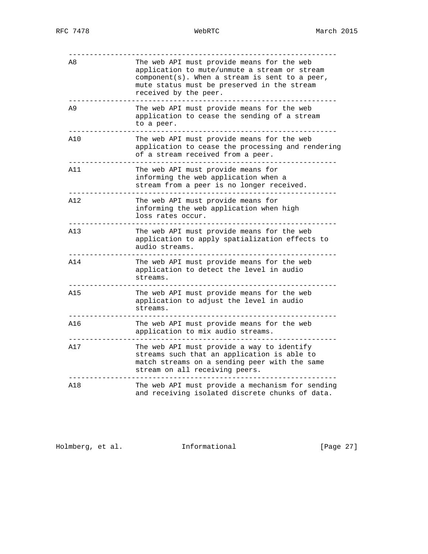| A8  | The web API must provide means for the web<br>application to mute/unmute a stream or stream<br>$component(s)$ . When a stream is sent to a peer,<br>mute status must be preserved in the stream<br>received by the peer. |
|-----|--------------------------------------------------------------------------------------------------------------------------------------------------------------------------------------------------------------------------|
| A9  | The web API must provide means for the web<br>application to cease the sending of a stream<br>to a peer.                                                                                                                 |
| A10 | The web API must provide means for the web<br>application to cease the processing and rendering<br>of a stream received from a peer.                                                                                     |
| A11 | The web API must provide means for<br>informing the web application when a<br>stream from a peer is no longer received.                                                                                                  |
| A12 | The web API must provide means for<br>informing the web application when high<br>loss rates occur.                                                                                                                       |
| A13 | The web API must provide means for the web<br>application to apply spatialization effects to<br>audio streams.                                                                                                           |
| A14 | The web API must provide means for the web<br>application to detect the level in audio<br>streams.                                                                                                                       |
| A15 | The web API must provide means for the web<br>application to adjust the level in audio<br>streams.                                                                                                                       |
| A16 | The web API must provide means for the web<br>application to mix audio streams.                                                                                                                                          |
| A17 | The web API must provide a way to identify<br>streams such that an application is able to<br>match streams on a sending peer with the same<br>stream on all receiving peers.                                             |
| A18 | The web API must provide a mechanism for sending<br>and receiving isolated discrete chunks of data.                                                                                                                      |

Holmberg, et al. 1nformational [Page 27]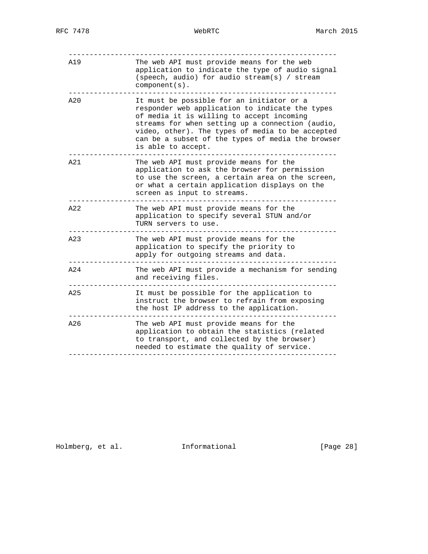| A19 | The web API must provide means for the web<br>application to indicate the type of audio signal<br>(speech, audio) for audio stream(s) / stream<br>$component(s)$ .                                                                                                                                                           |
|-----|------------------------------------------------------------------------------------------------------------------------------------------------------------------------------------------------------------------------------------------------------------------------------------------------------------------------------|
| A20 | It must be possible for an initiator or a<br>responder web application to indicate the types<br>of media it is willing to accept incoming<br>streams for when setting up a connection (audio,<br>video, other). The types of media to be accepted<br>can be a subset of the types of media the browser<br>is able to accept. |
| A21 | The web API must provide means for the<br>application to ask the browser for permission<br>to use the screen, a certain area on the screen,<br>or what a certain application displays on the<br>screen as input to streams.                                                                                                  |
| A22 | The web API must provide means for the<br>application to specify several STUN and/or<br>TURN servers to use.                                                                                                                                                                                                                 |
| A23 | The web API must provide means for the<br>application to specify the priority to<br>apply for outgoing streams and data.                                                                                                                                                                                                     |
| A24 | The web API must provide a mechanism for sending<br>and receiving files.                                                                                                                                                                                                                                                     |
| A25 | It must be possible for the application to<br>instruct the browser to refrain from exposing<br>the host IP address to the application.                                                                                                                                                                                       |
| A26 | The web API must provide means for the<br>application to obtain the statistics (related<br>to transport, and collected by the browser)<br>needed to estimate the quality of service.                                                                                                                                         |
|     |                                                                                                                                                                                                                                                                                                                              |

Holmberg, et al. 1nformational [Page 28]